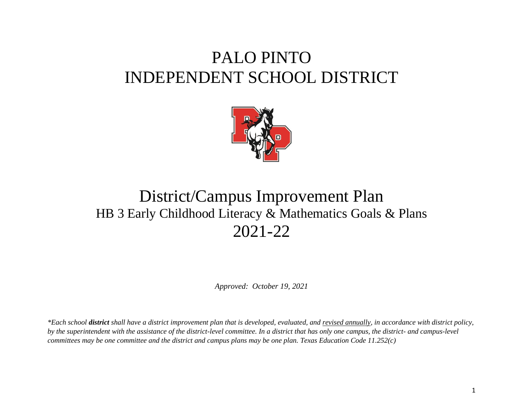# PALO PINTO INDEPENDENT SCHOOL DISTRICT



## District/Campus Improvement Plan HB 3 Early Childhood Literacy & Mathematics Goals & Plans 2021-22

*Approved: October 19, 2021*

*\*Each school district shall have a district improvement plan that is developed, evaluated, and revised annually, in accordance with district policy, by the superintendent with the assistance of the district-level committee. In a district that has only one campus, the district- and campus-level committees may be one committee and the district and campus plans may be one plan. Texas Education Code 11.252(c)*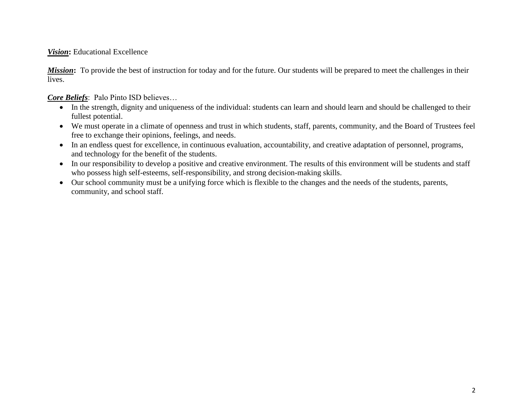#### **Vision:** Educational Excellence

*Mission*: To provide the best of instruction for today and for the future. Our students will be prepared to meet the challenges in their lives.

*Core Beliefs*: Palo Pinto ISD believes…

- In the strength, dignity and uniqueness of the individual: students can learn and should learn and should be challenged to their fullest potential.
- We must operate in a climate of openness and trust in which students, staff, parents, community, and the Board of Trustees feel free to exchange their opinions, feelings, and needs.
- In an endless quest for excellence, in continuous evaluation, accountability, and creative adaptation of personnel, programs, and technology for the benefit of the students.
- In our responsibility to develop a positive and creative environment. The results of this environment will be students and staff who possess high self-esteems, self-responsibility, and strong decision-making skills.
- Our school community must be a unifying force which is flexible to the changes and the needs of the students, parents, community, and school staff.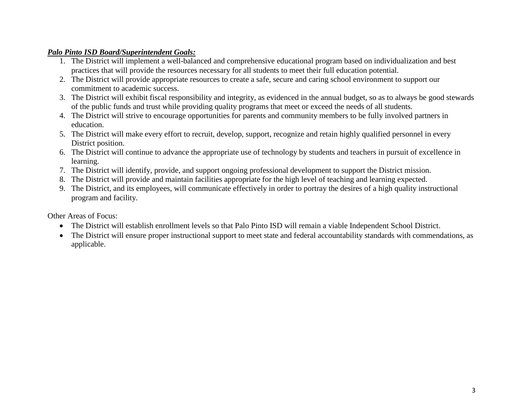#### *Palo Pinto ISD Board/Superintendent Goals:*

- 1. The District will implement a well-balanced and comprehensive educational program based on individualization and best practices that will provide the resources necessary for all students to meet their full education potential.
- 2. The District will provide appropriate resources to create a safe, secure and caring school environment to support our commitment to academic success.
- 3. The District will exhibit fiscal responsibility and integrity, as evidenced in the annual budget, so as to always be good stewards of the public funds and trust while providing quality programs that meet or exceed the needs of all students.
- 4. The District will strive to encourage opportunities for parents and community members to be fully involved partners in education.
- 5. The District will make every effort to recruit, develop, support, recognize and retain highly qualified personnel in every District position.
- 6. The District will continue to advance the appropriate use of technology by students and teachers in pursuit of excellence in learning.
- 7. The District will identify, provide, and support ongoing professional development to support the District mission.
- 8. The District will provide and maintain facilities appropriate for the high level of teaching and learning expected.
- 9. The District, and its employees, will communicate effectively in order to portray the desires of a high quality instructional program and facility.

Other Areas of Focus:

- The District will establish enrollment levels so that Palo Pinto ISD will remain a viable Independent School District.
- The District will ensure proper instructional support to meet state and federal accountability standards with commendations, as applicable.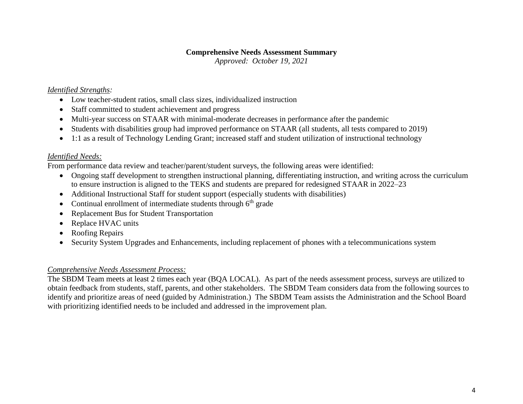#### **Comprehensive Needs Assessment Summary**

*Approved: October 19, 2021*

#### *Identified Strengths:*

- Low teacher-student ratios, small class sizes, individualized instruction
- Staff committed to student achievement and progress
- Multi-year success on STAAR with minimal-moderate decreases in performance after the pandemic
- Students with disabilities group had improved performance on STAAR (all students, all tests compared to 2019)
- 1:1 as a result of Technology Lending Grant; increased staff and student utilization of instructional technology

#### *Identified Needs:*

From performance data review and teacher/parent/student surveys, the following areas were identified:

- Ongoing staff development to strengthen instructional planning, differentiating instruction, and writing across the curriculum to ensure instruction is aligned to the TEKS and students are prepared for redesigned STAAR in 2022–23
- Additional Instructional Staff for student support (especially students with disabilities)
- Continual enrollment of intermediate students through  $6<sup>th</sup>$  grade
- Replacement Bus for Student Transportation
- Replace HVAC units
- Roofing Repairs
- Security System Upgrades and Enhancements, including replacement of phones with a telecommunications system

#### *Comprehensive Needs Assessment Process:*

The SBDM Team meets at least 2 times each year (BQA LOCAL). As part of the needs assessment process, surveys are utilized to obtain feedback from students, staff, parents, and other stakeholders. The SBDM Team considers data from the following sources to identify and prioritize areas of need (guided by Administration.) The SBDM Team assists the Administration and the School Board with prioritizing identified needs to be included and addressed in the improvement plan.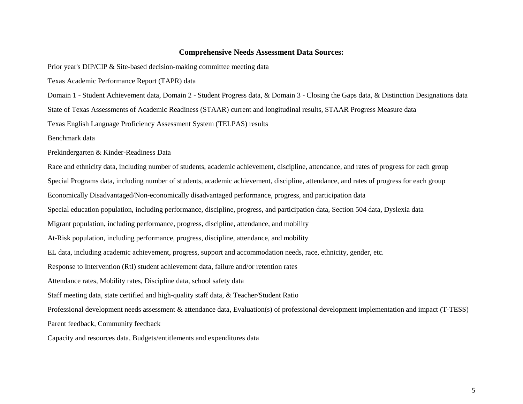#### **Comprehensive Needs Assessment Data Sources:**

Prior year's DIP/CIP & Site-based decision-making committee meeting data

Texas Academic Performance Report (TAPR) data

Domain 1 - Student Achievement data, Domain 2 - Student Progress data, & Domain 3 - Closing the Gaps data, & Distinction Designations data

State of Texas Assessments of Academic Readiness (STAAR) current and longitudinal results, STAAR Progress Measure data

Texas English Language Proficiency Assessment System (TELPAS) results

Benchmark data

Prekindergarten & Kinder-Readiness Data

Race and ethnicity data, including number of students, academic achievement, discipline, attendance, and rates of progress for each group Special Programs data, including number of students, academic achievement, discipline, attendance, and rates of progress for each group Economically Disadvantaged/Non-economically disadvantaged performance, progress, and participation data Special education population, including performance, discipline, progress, and participation data, Section 504 data, Dyslexia data Migrant population, including performance, progress, discipline, attendance, and mobility At-Risk population, including performance, progress, discipline, attendance, and mobility EL data, including academic achievement, progress, support and accommodation needs, race, ethnicity, gender, etc. Response to Intervention (RtI) student achievement data, failure and/or retention rates Attendance rates, Mobility rates, Discipline data, school safety data Staff meeting data, state certified and high-quality staff data, & Teacher/Student Ratio Professional development needs assessment & attendance data, Evaluation(s) of professional development implementation and impact (T-TESS) Parent feedback, Community feedback Capacity and resources data, Budgets/entitlements and expenditures data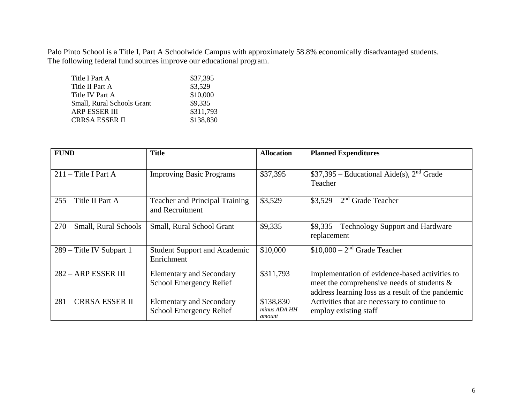Palo Pinto School is a Title I, Part A Schoolwide Campus with approximately 58.8% economically disadvantaged students. The following federal fund sources improve our educational program.

| Title I Part A             | \$37,395  |
|----------------------------|-----------|
| Title II Part A            | \$3,529   |
| Title IV Part A            | \$10,000  |
| Small, Rural Schools Grant | \$9,335   |
| <b>ARP ESSER III</b>       | \$311,793 |
| <b>CRRSA ESSER II</b>      | \$138,830 |

| <b>FUND</b>                | <b>Title</b>                                                      | <b>Allocation</b>                   | <b>Planned Expenditures</b>                                                                                                                          |
|----------------------------|-------------------------------------------------------------------|-------------------------------------|------------------------------------------------------------------------------------------------------------------------------------------------------|
| $211$ – Title I Part A     | <b>Improving Basic Programs</b>                                   | \$37,395                            | $$37,395$ – Educational Aide(s), 2 <sup>nd</sup> Grade<br>Teacher                                                                                    |
| $255 -$ Title II Part A    | <b>Teacher and Principal Training</b><br>and Recruitment          | \$3,529                             | $$3,529 - 2nd$ Grade Teacher                                                                                                                         |
| 270 – Small, Rural Schools | Small, Rural School Grant                                         | \$9,335                             | \$9,335 – Technology Support and Hardware<br>replacement                                                                                             |
| 289 – Title IV Subpart 1   | <b>Student Support and Academic</b><br>Enrichment                 | \$10,000                            | $$10,000 - 2nd$ Grade Teacher                                                                                                                        |
| 282 - ARP ESSER III        | <b>Elementary and Secondary</b><br><b>School Emergency Relief</b> | \$311,793                           | Implementation of evidence-based activities to<br>meet the comprehensive needs of students $\&$<br>address learning loss as a result of the pandemic |
| 281 – CRRSA ESSER II       | <b>Elementary and Secondary</b><br>School Emergency Relief        | \$138,830<br>minus ADA HH<br>amount | Activities that are necessary to continue to<br>employ existing staff                                                                                |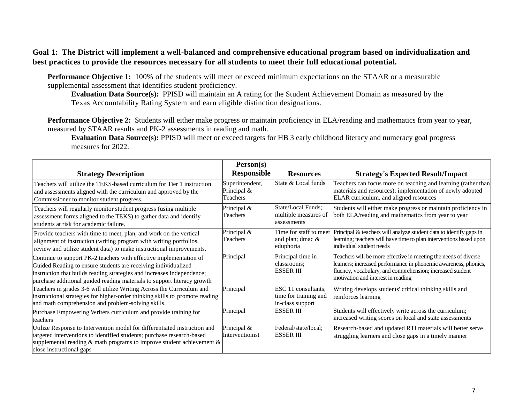#### **Goal 1: The District will implement a well-balanced and comprehensive educational program based on individualization and best practices to provide the resources necessary for all students to meet their full educational potential.**

**Performance Objective 1:** 100% of the students will meet or exceed minimum expectations on the STAAR or a measurable supplemental assessment that identifies student proficiency.

**Evaluation Data Source(s):** PPISD will maintain an A rating for the Student Achievement Domain as measured by the Texas Accountability Rating System and earn eligible distinction designations.

**Performance Objective 2:** Students will either make progress or maintain proficiency in ELA/reading and mathematics from year to year, measured by STAAR results and PK-2 assessments in reading and math.

**Evaluation Data Source(s):** PPISD will meet or exceed targets for HB 3 early childhood literacy and numeracy goal progress measures for 2022.

|                                                                                                                                                                                                                                                                                           | Person(s)                                  |                                                                  |                                                                                                                                                                                                                                       |
|-------------------------------------------------------------------------------------------------------------------------------------------------------------------------------------------------------------------------------------------------------------------------------------------|--------------------------------------------|------------------------------------------------------------------|---------------------------------------------------------------------------------------------------------------------------------------------------------------------------------------------------------------------------------------|
| <b>Strategy Description</b>                                                                                                                                                                                                                                                               | <b>Responsible</b>                         | <b>Resources</b>                                                 | <b>Strategy's Expected Result/Impact</b>                                                                                                                                                                                              |
| Teachers will utilize the TEKS-based curriculum for Tier 1 instruction<br>and assessments aligned with the curriculum and approved by the<br>Commissioner to monitor student progress.                                                                                                    | Superintendent,<br>Principal &<br>Teachers | State & Local funds                                              | Teachers can focus more on teaching and learning (rather than<br>materials and resources); implementation of newly adopted<br>ELAR curriculum, and aligned resources                                                                  |
| Teachers will regularly monitor student progress (using multiple<br>assessment forms aligned to the TEKS) to gather data and identify<br>students at risk for academic failure.                                                                                                           | Principal &<br>Teachers                    | State/Local Funds;<br>multiple measures of<br>assessments        | Students will either make progress or maintain proficiency in<br>both ELA/reading and mathematics from year to year                                                                                                                   |
| Provide teachers with time to meet, plan, and work on the vertical<br>alignment of instruction (writing program with writing portfolios,<br>review and utilize student data) to make instructional improvements.                                                                          | Principal &<br>Teachers                    | Time for staff to meet<br>and plan; dmac &<br>eduphoria          | Principal & teachers will analyze student data to identify gaps in<br>learning; teachers will have time to plan interventions based upon<br>individual student needs                                                                  |
| Continue to support PK-2 teachers with effective implementation of<br>Guided Reading to ensure students are receiving individualized<br>instruction that builds reading strategies and increases independence;<br>purchase additional guided reading materials to support literacy growth | Principal                                  | Principal time in<br>classrooms:<br><b>ESSER III</b>             | Teachers will be more effective in meeting the needs of diverse<br>learners; increased performance in phonemic awareness, phonics,<br>fluency, vocabulary, and comprehension; increased student<br>motivation and interest in reading |
| Teachers in grades 3-6 will utilize Writing Across the Curriculum and<br>instructional strategies for higher-order thinking skills to promote reading<br>and math comprehension and problem-solving skills.                                                                               | Principal                                  | ESC 11 consultants;<br>time for training and<br>in-class support | Writing develops students' critical thinking skills and<br>reinforces learning                                                                                                                                                        |
| Purchase Empowering Writers curriculum and provide training for<br>teachers                                                                                                                                                                                                               | Principal                                  | <b>ESSER III</b>                                                 | Students will effectively write across the curriculum;<br>increased writing scores on local and state assessments                                                                                                                     |
| Utilize Response to Intervention model for differentiated instruction and<br>targeted interventions to identified students; purchase research-based<br>supplemental reading $\&$ math programs to improve student achievement $\&$<br>close instructional gaps                            | Principal &<br>Interventionist             | Federal/state/local;<br><b>ESSER III</b>                         | Research-based and updated RTI materials will better serve<br>struggling learners and close gaps in a timely manner                                                                                                                   |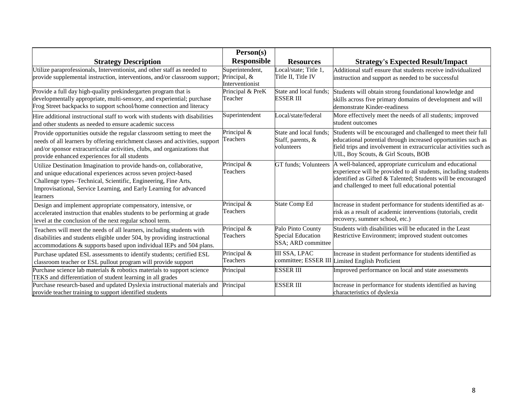|                                                                                                                                                                                                                                                                                          | Person(s)                                          |                                                                     |                                                                                                                                                                                                                                                 |
|------------------------------------------------------------------------------------------------------------------------------------------------------------------------------------------------------------------------------------------------------------------------------------------|----------------------------------------------------|---------------------------------------------------------------------|-------------------------------------------------------------------------------------------------------------------------------------------------------------------------------------------------------------------------------------------------|
| <b>Strategy Description</b>                                                                                                                                                                                                                                                              | <b>Responsible</b>                                 | <b>Resources</b>                                                    | <b>Strategy's Expected Result/Impact</b>                                                                                                                                                                                                        |
| Utilize paraprofessionals, Interventionist, and other staff as needed to<br>provide supplemental instruction, interventions, and/or classroom support;                                                                                                                                   | Superintendent,<br>Principal, &<br>Interventionist | Local/state; Title 1,<br>Title II, Title IV                         | Additional staff ensure that students receive individualized<br>instruction and support as needed to be successful                                                                                                                              |
| Provide a full day high-quality prekindergarten program that is<br>developmentally appropriate, multi-sensory, and experiential; purchase<br>Frog Street backpacks to support school/home connection and literacy                                                                        | Principal & PreK<br>Teacher                        | State and local funds;<br><b>ESSER III</b>                          | Students will obtain strong foundational knowledge and<br>skills across five primary domains of development and will<br>demonstrate Kinder-readiness                                                                                            |
| Hire additional instructional staff to work with students with disabilities<br>and other students as needed to ensure academic success                                                                                                                                                   | Superintendent                                     | Local/state/federal                                                 | More effectively meet the needs of all students; improved<br>student outcomes                                                                                                                                                                   |
| Provide opportunities outside the regular classroom setting to meet the<br>needs of all learners by offering enrichment classes and activities, support<br>and/or sponsor extracurricular activities, clubs, and organizations that<br>provide enhanced experiences for all students     | Principal &<br>Teachers                            | State and local funds;<br>Staff, parents, &<br>volunteers           | Students will be encouraged and challenged to meet their full<br>educational potential through increased opportunities such as<br>field trips and involvement in extracurricular activities such as<br>UIL, Boy Scouts, & Girl Scouts, BOB      |
| Utilize Destination Imagination to provide hands-on, collaborative,<br>and unique educational experiences across seven project-based<br>Challenge types-Technical, Scientific, Engineering, Fine Arts,<br>Improvisational, Service Learning, and Early Learning for advanced<br>learners | Principal &<br>Teachers                            | <b>GT</b> funds; Volunteers                                         | A well-balanced, appropriate curriculum and educational<br>experience will be provided to all students, including students<br>identified as Gifted & Talented; Students will be encouraged<br>and challenged to meet full educational potential |
| Design and implement appropriate compensatory, intensive, or<br>accelerated instruction that enables students to be performing at grade<br>level at the conclusion of the next regular school term.                                                                                      | Principal &<br>Teachers                            | <b>State Comp Ed</b>                                                | Increase in student performance for students identified as at-<br>risk as a result of academic interventions (tutorials, credit<br>recovery, summer school, etc.)                                                                               |
| Teachers will meet the needs of all learners, including students with<br>disabilities and students eligible under 504, by providing instructional<br>accommodations & supports based upon individual IEPs and 504 plans.                                                                 | Principal &<br>Teachers                            | Palo Pinto County<br><b>Special Education</b><br>SSA; ARD committee | Students with disabilities will be educated in the Least<br>Restrictive Environment; improved student outcomes                                                                                                                                  |
| Purchase updated ESL assessments to identify students; certified ESL<br>classroom teacher or ESL pullout program will provide support                                                                                                                                                    | Principal &<br>Teachers                            | <b>III SSA, LPAC</b>                                                | Increase in student performance for students identified as<br>committee; ESSER III Limited English Proficient                                                                                                                                   |
| Purchase science lab materials & robotics materials to support science<br>TEKS and differentiation of student learning in all grades                                                                                                                                                     | Principal                                          | <b>ESSER III</b>                                                    | Improved performance on local and state assessments                                                                                                                                                                                             |
| Purchase research-based and updated Dyslexia instructional materials and<br>provide teacher training to support identified students                                                                                                                                                      | Principal                                          | <b>ESSER III</b>                                                    | Increase in performance for students identified as having<br>characteristics of dyslexia                                                                                                                                                        |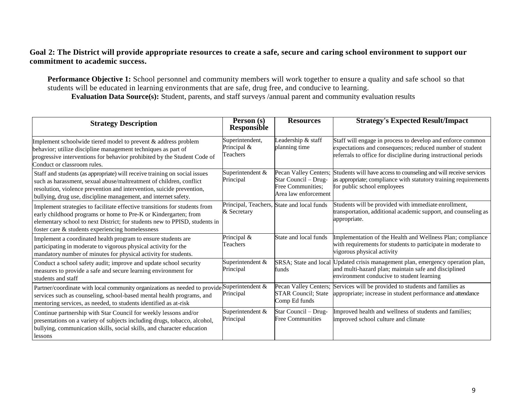#### **Goal 2: The District will provide appropriate resources to create a safe, secure and caring school environment to support our commitment to academic success.**

**Performance Objective 1:** School personnel and community members will work together to ensure a quality and safe school so that students will be educated in learning environments that are safe, drug free, and conducive to learning. **Evaluation Data Source(s):** Student, parents, and staff surveys /annual parent and community evaluation results

| <b>Strategy Description</b>                                                                                                                                                                                                                                                                   | Person (s)<br><b>Responsible</b>              | <b>Resources</b>                                                                           | <b>Strategy's Expected Result/Impact</b>                                                                                                                                                  |
|-----------------------------------------------------------------------------------------------------------------------------------------------------------------------------------------------------------------------------------------------------------------------------------------------|-----------------------------------------------|--------------------------------------------------------------------------------------------|-------------------------------------------------------------------------------------------------------------------------------------------------------------------------------------------|
| Implement schoolwide tiered model to prevent & address problem<br>behavior; utilize discipline management techniques as part of<br>progressive interventions for behavior prohibited by the Student Code of<br>Conduct or classroom rules.                                                    | Superintendent,<br>Principal $\&$<br>Teachers | Leadership & staff<br>planning time                                                        | Staff will engage in process to develop and enforce common<br>expectations and consequences; reduced number of student<br>referrals to office for discipline during instructional periods |
| Staff and students (as appropriate) will receive training on social issues<br>such as harassment, sexual abuse/maltreatment of children, conflict<br>resolution, violence prevention and intervention, suicide prevention,<br>bullying, drug use, discipline management, and internet safety. | Superintendent &<br>Principal                 | Pecan Valley Centers;<br>Star Council - Drug-<br>Free Communities;<br>Area law enforcement | Students will have access to counseling and will receive services<br>as appropriate; compliance with statutory training requirements<br>for public school employees                       |
| Implement strategies to facilitate effective transitions for students from<br>early childhood programs or home to Pre-K or Kindergarten; from<br>elementary school to next District; for students new to PPISD, students in<br>foster care & students experiencing homelessness               | & Secretary                                   | Principal, Teachers, State and local funds                                                 | Students will be provided with immediate enrollment,<br>transportation, additional academic support, and counseling as<br>appropriate.                                                    |
| Implement a coordinated health program to ensure students are<br>participating in moderate to vigorous physical activity for the<br>mandatory number of minutes for physical activity for students.                                                                                           | Principal &<br>Teachers                       | State and local funds                                                                      | Implementation of the Health and Wellness Plan; compliance<br>with requirements for students to participate in moderate to<br>vigorous physical activity                                  |
| Conduct a school safety audit; improve and update school security<br>measures to provide a safe and secure learning environment for<br>students and staff                                                                                                                                     | Superintendent &<br>Principal                 | SRSA; State and local<br>funds                                                             | Updated crisis management plan, emergency operation plan,<br>and multi-hazard plan; maintain safe and disciplined<br>environment conducive to student learning                            |
| Partner/coordinate with local community organizations as needed to provide Superintendent &<br>services such as counseling, school-based mental health programs, and<br>mentoring services, as needed, to students identified as at-risk                                                      | Principal                                     | Pecan Valley Centers;<br><b>STAR Council; State</b><br>Comp Ed funds                       | Services will be provided to students and families as<br>appropriate; increase in student performance and attendance                                                                      |
| Continue partnership with Star Council for weekly lessons and/or<br>presentations on a variety of subjects including drugs, tobacco, alcohol,<br>bullying, communication skills, social skills, and character education<br>lessons                                                            | Superintendent &<br>Principal                 | Star Council - Drug-<br><b>Free Communities</b>                                            | Improved health and wellness of students and families;<br>improved school culture and climate                                                                                             |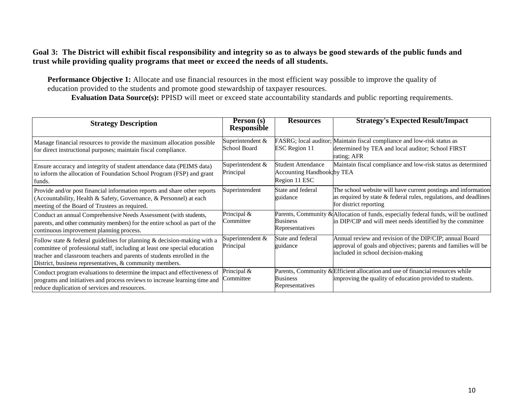#### **Goal 3: The District will exhibit fiscal responsibility and integrity so as to always be good stewards of the public funds and trust while providing quality programs that meet or exceed the needs of all students.**

**Performance Objective 1:** Allocate and use financial resources in the most efficient way possible to improve the quality of education provided to the students and promote good stewardship of taxpayer resources.

**Evaluation Data Source(s):** PPISD will meet or exceed state accountability standards and public reporting requirements.

| <b>Strategy Description</b>                                                                                                                                                                                                                                                                       | Person (s)<br><b>Responsible</b>        | <b>Resources</b>                                                         | <b>Strategy's Expected Result/Impact</b>                                                                                                                        |
|---------------------------------------------------------------------------------------------------------------------------------------------------------------------------------------------------------------------------------------------------------------------------------------------------|-----------------------------------------|--------------------------------------------------------------------------|-----------------------------------------------------------------------------------------------------------------------------------------------------------------|
| Manage financial resources to provide the maximum allocation possible<br>for direct instructional purposes; maintain fiscal compliance.                                                                                                                                                           | Superintendent &<br><b>School Board</b> | <b>ESC</b> Region 11                                                     | FASRG; local auditor; Maintain fiscal compliance and low-risk status as<br>determined by TEA and local auditor; School FIRST<br>rating; AFR                     |
| Ensure accuracy and integrity of student attendance data (PEIMS data)<br>to inform the allocation of Foundation School Program (FSP) and grant<br>funds.                                                                                                                                          | Superintendent &<br>Principal           | Student Attendance<br><b>Accounting Handbook by TEA</b><br>Region 11 ESC | Maintain fiscal compliance and low-risk status as determined                                                                                                    |
| Provide and/or post financial information reports and share other reports<br>(Accountability, Health & Safety, Governance, & Personnel) at each<br>meeting of the Board of Trustees as required.                                                                                                  | Superintendent                          | State and federal<br>guidance                                            | The school website will have current postings and information<br>as required by state & federal rules, regulations, and deadlines<br>for district reporting     |
| Conduct an annual Comprehensive Needs Assessment (with students,<br>parents, and other community members) for the entire school as part of the<br>continuous improvement planning process.                                                                                                        | Principal &<br>Committee                | <b>Business</b><br>Representatives                                       | Parents, Community & Allocation of funds, especially federal funds, will be outlined<br>in DIP/CIP and will meet needs identified by the committee              |
| Follow state $&$ federal guidelines for planning $&$ decision-making with a<br>committee of professional staff, including at least one special education<br>teacher and classroom teachers and parents of students enrolled in the<br>District, business representatives, $\&$ community members. | Superintendent &<br>Principal           | State and federal<br>guidance                                            | Annual review and revision of the DIP/CIP; annual Board<br>approval of goals and objectives; parents and families will be<br>included in school decision-making |
| Conduct program evaluations to determine the impact and effectiveness of<br>programs and initiatives and process reviews to increase learning time and<br>reduce duplication of services and resources.                                                                                           | Principal &<br>Committee                | <b>Business</b><br>Representatives                                       | Parents, Community & Efficient allocation and use of financial resources while<br>improving the quality of education provided to students.                      |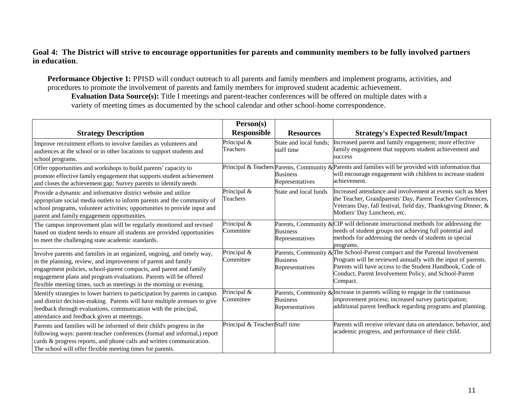#### **Goal 4: The District will strive to encourage opportunities for parents and community members to be fully involved partners in education**.

**Performance Objective 1:** PPISD will conduct outreach to all parents and family members and implement programs, activities, and procedures to promote the involvement of parents and family members for improved student academic achievement. **Evaluation Data Source(s):** Title I meetings and parent-teacher conferences will be offered on multiple dates with a variety of meeting times as documented by the school calendar and other school-home correspondence.

| <b>Strategy Description</b>                                                                                                                                                                                                                                                                                                                               | Person(s)<br><b>Responsible</b> | <b>Resources</b>                     | <b>Strategy's Expected Result/Impact</b>                                                                                                                                                                                                                                      |
|-----------------------------------------------------------------------------------------------------------------------------------------------------------------------------------------------------------------------------------------------------------------------------------------------------------------------------------------------------------|---------------------------------|--------------------------------------|-------------------------------------------------------------------------------------------------------------------------------------------------------------------------------------------------------------------------------------------------------------------------------|
| Improve recruitment efforts to involve families as volunteers and<br>audiences at the school or in other locations to support students and<br>school programs.                                                                                                                                                                                            | Principal &<br>Teachers         | State and local funds:<br>staff time | Increased parent and family engagement; more effective<br>family engagement that supports student achievement and<br>success                                                                                                                                                  |
| Offer opportunities and workshops to build parents' capacity to<br>promote effective family engagement that supports student achievement<br>and closes the achievement gap; Survey parents to identify needs                                                                                                                                              |                                 | <b>Business</b><br>Representatives   | Principal & Teachers Parents, Community & Parents and families will be provided with information that<br>will encourage engagement with children to increase student<br>achievement.                                                                                          |
| Provide a dynamic and informative district website and utilize<br>appropriate social media outlets to inform parents and the community of<br>school programs, volunteer activities; opportunities to provide input and<br>parent and family engagement opportunities.                                                                                     | Principal &<br>Teachers         | State and local funds                | Increased attendance and involvement at events such as Meet<br>the Teacher, Grandparents' Day, Parent Teacher Conferences,<br>Veterans Day, fall festival, field day, Thanksgiving Dinner, &<br>Mothers' Day Luncheon, etc.                                                   |
| The campus improvement plan will be regularly monitored and revised<br>based on student needs to ensure all students are provided opportunities<br>to meet the challenging state academic standards.                                                                                                                                                      | Principal &<br>Committee        | <b>Business</b><br>Representatives   | Parents, Community & $CIP$ will delineate instructional methods for addressing the<br>needs of student groups not achieving full potential and<br>methods for addressing the needs of students in special<br>programs.                                                        |
| Involve parents and families in an organized, ongoing, and timely way,<br>in the planning, review, and improvement of parent and family<br>engagement policies, school-parent compacts, and parent and family<br>engagement plans and program evaluations. Parents will be offered<br>flexible meeting times, such as meetings in the morning or evening. | Principal &<br>Committee        | <b>Business</b><br>Representatives   | Parents, Community & The School-Parent compact and the Parental Involvement<br>Program will be reviewed annually with the input of parents.<br>Parents will have access to the Student Handbook, Code of<br>Conduct, Parent Involvement Policy, and School-Parent<br>Compact. |
| Identify strategies to lower barriers to participation by parents in campus<br>and district decision-making. Parents will have multiple avenues to give<br>feedback through evaluations, communication with the principal,<br>attendance and feedback given at meetings.                                                                                  | Principal &<br>Committee        | <b>Business</b><br>Representatives   | Parents, Community & Increase in parents willing to engage in the continuous<br>improvement process; increased survey participation;<br>additional parent feedback regarding programs and planning.                                                                           |
| Parents and families will be informed of their child's progress in the<br>following ways: parent-teacher conferences (formal and informal,) report<br>cards & progress reports, and phone calls and written communication.<br>The school will offer flexible meeting times for parents.                                                                   | Principal & Teacher Staff time  |                                      | Parents will receive relevant data on attendance, behavior, and<br>academic progress, and performance of their child.                                                                                                                                                         |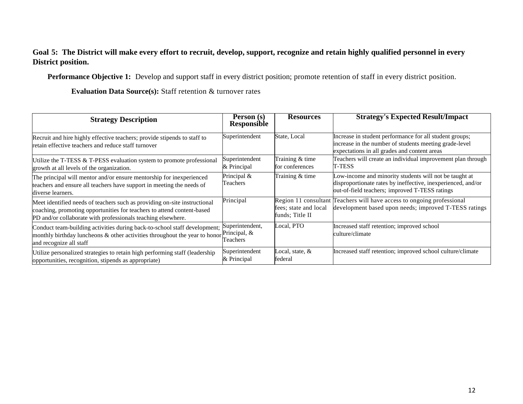#### **Goal 5: The District will make every effort to recruit, develop, support, recognize and retain highly qualified personnel in every District position.**

**Performance Objective 1:** Develop and support staff in every district position; promote retention of staff in every district position.

**Evaluation Data Source(s):** Staff retention & turnover rates

| <b>Strategy Description</b>                                                                                                                                                                                         | Person (s)<br><b>Responsible</b>            | <b>Resources</b>                         | <b>Strategy's Expected Result/Impact</b>                                                                                                                                 |
|---------------------------------------------------------------------------------------------------------------------------------------------------------------------------------------------------------------------|---------------------------------------------|------------------------------------------|--------------------------------------------------------------------------------------------------------------------------------------------------------------------------|
| Recruit and hire highly effective teachers; provide stipends to staff to<br>retain effective teachers and reduce staff turnover                                                                                     | Superintendent                              | State, Local                             | Increase in student performance for all student groups;<br>increase in the number of students meeting grade-level<br>expectations in all grades and content areas        |
| Utilize the T-TESS & T-PESS evaluation system to promote professional<br>growth at all levels of the organization.                                                                                                  | Superintendent<br>& Principal               | Training & time<br>for conferences       | Teachers will create an individual improvement plan through<br>T-TESS                                                                                                    |
| The principal will mentor and/or ensure mentorship for inexperienced<br>teachers and ensure all teachers have support in meeting the needs of<br>diverse learners.                                                  | Principal &<br>Teachers                     | Training & time                          | Low-income and minority students will not be taught at<br>disproportionate rates by ineffective, inexperienced, and/or<br>out-of-field teachers; improved T-TESS ratings |
| Meet identified needs of teachers such as providing on-site instructional<br>coaching, promoting opportunities for teachers to attend content-based<br>PD and/or collaborate with professionals teaching elsewhere. | Principal                                   | fees; state and local<br>funds: Title II | Region 11 consultant Teachers will have access to ongoing professional<br>development based upon needs; improved T-TESS ratings                                          |
| Conduct team-building activities during back-to-school staff development;<br>monthly birthday luncheons $\&$ other activities throughout the year to honor<br>and recognize all staff                               | Superintendent,<br>Principal, &<br>Feachers | Local, PTO                               | Increased staff retention; improved school<br>culture/climate                                                                                                            |
| Utilize personalized strategies to retain high performing staff (leadership)<br>opportunities, recognition, stipends as appropriate)                                                                                | Superintendent<br>& Principal               | Local, state, &<br>federal               | Increased staff retention; improved school culture/climate                                                                                                               |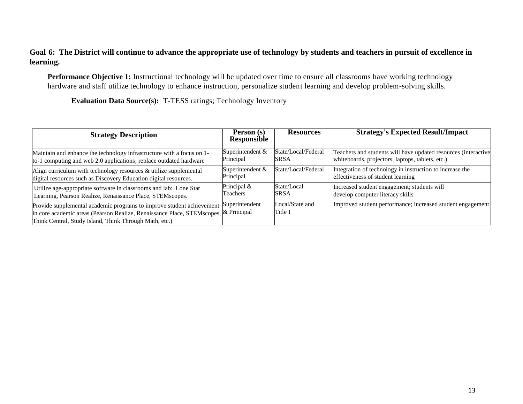#### **Goal 6: The District will continue to advance the appropriate use of technology by students and teachers in pursuit of excellence in learning.**

**Performance Objective 1:** Instructional technology will be updated over time to ensure all classrooms have working technology hardware and staff utilize technology to enhance instruction, personalize student learning and develop problem-solving skills.

**Evaluation Data Source(s):** T-TESS ratings; Technology Inventory

| <b>Strategy Description</b>                                                                                                                                                                                            | Person (s)<br><b>Responsible</b> | <b>Resources</b>           | <b>Strategy's Expected Result/Impact</b>                       |
|------------------------------------------------------------------------------------------------------------------------------------------------------------------------------------------------------------------------|----------------------------------|----------------------------|----------------------------------------------------------------|
| Maintain and enhance the technology infrastructure with a focus on 1-                                                                                                                                                  | Superintendent &                 | State/Local/Federal        | Teachers and students will have updated resources (interactive |
| to-1 computing and web 2.0 applications; replace outdated hardware                                                                                                                                                     | Principal                        | <b>SRSA</b>                | whiteboards, projectors, laptops, tablets, etc.)               |
| Align curriculum with technology resources $\&$ utilize supplemental                                                                                                                                                   | Superintendent &                 | State/Local/Federal        | Integration of technology in instruction to increase the       |
| digital resources such as Discovery Education digital resources.                                                                                                                                                       | Principal                        |                            | effectiveness of student learning                              |
| Utilize age-appropriate software in classrooms and lab: Lone Star                                                                                                                                                      | Principal &                      | State/Local                | Increased student engagement; students will                    |
| Learning, Pearson Realize, Renaissance Place, STEMscopes.                                                                                                                                                              | Teachers                         | <b>SRSA</b>                | develop computer literacy skills                               |
| Provide supplemental academic programs to improve student achievement<br>in core academic areas (Pearson Realize, Renaissance Place, STEMscopes, & Principal<br>Think Central, Study Island, Think Through Math, etc.) | Superintendent                   | Local/State and<br>Title I | Improved student performance; increased student engagement     |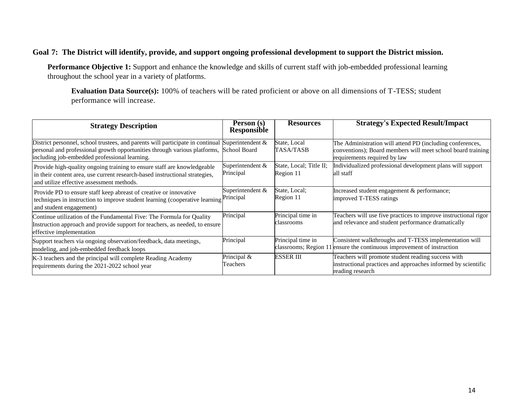#### **Goal 7: The District will identify, provide, and support ongoing professional development to support the District mission.**

**Performance Objective 1:** Support and enhance the knowledge and skills of current staff with job-embedded professional learning throughout the school year in a variety of platforms.

**Evaluation Data Source(s):** 100% of teachers will be rated proficient or above on all dimensions of T-TESS; student performance will increase.

| <b>Strategy Description</b>                                                                                                                                                                                                      | Person (s)<br>Responsible     | <b>Resources</b>                     | <b>Strategy's Expected Result/Impact</b>                                                                                                                 |
|----------------------------------------------------------------------------------------------------------------------------------------------------------------------------------------------------------------------------------|-------------------------------|--------------------------------------|----------------------------------------------------------------------------------------------------------------------------------------------------------|
| District personnel, school trustees, and parents will participate in continual Superintendent $\&$<br>personal and professional growth opportunities through various platforms,<br>including job-embedded professional learning. | <b>School Board</b>           | State, Local<br>TASA/TASB            | The Administration will attend PD (including conferences,<br>conventions); Board members will meet school board training<br>requirements required by law |
| Provide high-quality ongoing training to ensure staff are knowledgeable<br>in their content area, use current research-based instructional strategies,<br>and utilize effective assessment methods.                              | Superintendent &<br>Principal | State, Local; Title II;<br>Region 11 | Individualized professional development plans will support<br>all staff                                                                                  |
| Provide PD to ensure staff keep abreast of creative or innovative<br>techniques in instruction to improve student learning (cooperative learning Principal<br>and student engagement)                                            | Superintendent &              | State, Local;<br>Region 11           | Increased student engagement & performance;<br>improved T-TESS ratings                                                                                   |
| Continue utilization of the Fundamental Five: The Formula for Quality<br>Instruction approach and provide support for teachers, as needed, to ensure<br>effective implementation                                                 | Principal                     | Principal time in<br>classrooms      | Teachers will use five practices to improve instructional rigor<br>and relevance and student performance dramatically                                    |
| Support teachers via ongoing observation/feedback, data meetings,<br>modeling, and job-embedded feedback loops                                                                                                                   | Principal                     | Principal time in                    | Consistent walkthroughs and T-TESS implementation will<br>classrooms; Region 11 ensure the continuous improvement of instruction                         |
| K-3 teachers and the principal will complete Reading Academy<br>requirements during the 2021-2022 school year                                                                                                                    | Principal &<br>Teachers       | ESSER III                            | Teachers will promote student reading success with<br>instructional practices and approaches informed by scientific<br>reading research                  |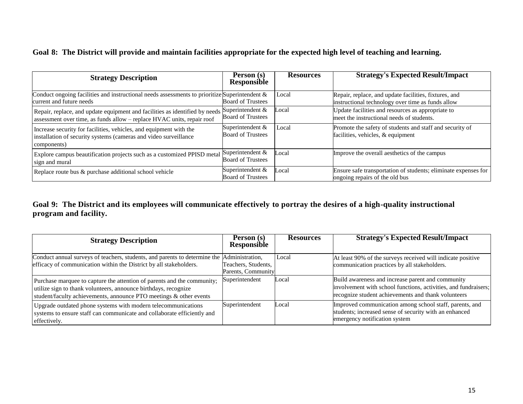#### **Goal 8: The District will provide and maintain facilities appropriate for the expected high level of teaching and learning.**

| <b>Strategy Description</b>                                                                                                                                            | Person (s)<br>Responsible                    | <b>Resources</b> | <b>Strategy's Expected Result/Impact</b>                                                                   |
|------------------------------------------------------------------------------------------------------------------------------------------------------------------------|----------------------------------------------|------------------|------------------------------------------------------------------------------------------------------------|
| Conduct ongoing facilities and instructional needs assessments to prioritize Superintendent $\&$<br>current and future needs                                           | <b>Board of Trustees</b>                     | Local            | Repair, replace, and update facilities, fixtures, and<br>instructional technology over time as funds allow |
| Repair, replace, and update equipment and facilities as identified by needs Superintendent &<br>assessment over time, as funds allow - replace HVAC units, repair roof | <b>Board of Trustees</b>                     | Local            | Update facilities and resources as appropriate to<br>meet the instructional needs of students.             |
| Increase security for facilities, vehicles, and equipment with the<br>installation of security systems (cameras and video surveillance<br>components)                  | Superintendent &<br><b>Board of Trustees</b> | Local            | Promote the safety of students and staff and security of<br>facilities, vehicles, & equipment              |
| Explore campus beautification projects such as a customized PPISD metal<br>sign and mural                                                                              | Superintendent &<br><b>Board of Trustees</b> | Local            | Improve the overall aesthetics of the campus                                                               |
| Replace route bus & purchase additional school vehicle                                                                                                                 | Superintendent &<br><b>Board of Trustees</b> | Local            | Ensure safe transportation of students; eliminate expenses for<br>ongoing repairs of the old bus           |

**Goal 9: The District and its employees will communicate effectively to portray the desires of a high-quality instructional program and facility.**

| <b>Strategy Description</b>                                                                                                                                                                                      | Person (s)<br><b>Responsible</b>          | <b>Resources</b> | <b>Strategy's Expected Result/Impact</b>                                                                                                                                    |
|------------------------------------------------------------------------------------------------------------------------------------------------------------------------------------------------------------------|-------------------------------------------|------------------|-----------------------------------------------------------------------------------------------------------------------------------------------------------------------------|
| Conduct annual surveys of teachers, students, and parents to determine the Administration,<br>efficacy of communication within the District by all stakeholders.                                                 | Teachers, Students,<br>Parents, Community | Local            | At least 90% of the surveys received will indicate positive<br>communication practices by all stakeholders.                                                                 |
| Purchase marquee to capture the attention of parents and the community;<br>utilize sign to thank volunteers, announce birthdays, recognize<br>student/faculty achievements, announce PTO meetings & other events | Superintendent                            | Local            | Build awareness and increase parent and community<br>involvement with school functions, activities, and fundraisers;<br>recognize student achievements and thank volunteers |
| Upgrade outdated phone systems with modern telecommunications<br>systems to ensure staff can communicate and collaborate efficiently and<br>effectively.                                                         | Superintendent                            | Local            | Improved communication among school staff, parents, and<br>students; increased sense of security with an enhanced<br>emergency notification system                          |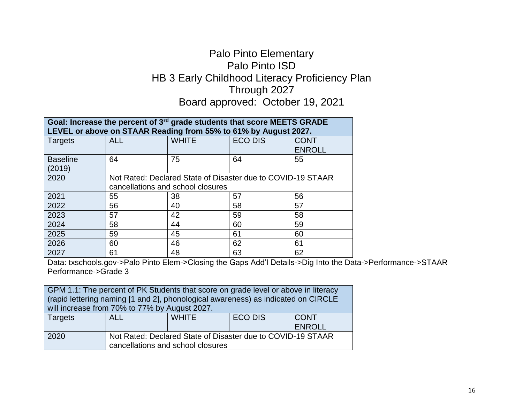## Palo Pinto Elementary Palo Pinto ISD HB 3 Early Childhood Literacy Proficiency Plan Through 2027 Board approved: October 19, 2021

| Goal: Increase the percent of 3 <sup>rd</sup> grade students that score MEETS GRADE<br>LEVEL or above on STAAR Reading from 55% to 61% by August 2027. |                                                                                                  |              |                |                       |
|--------------------------------------------------------------------------------------------------------------------------------------------------------|--------------------------------------------------------------------------------------------------|--------------|----------------|-----------------------|
| <b>Targets</b>                                                                                                                                         | <b>ALL</b>                                                                                       | <b>WHITE</b> | <b>ECO DIS</b> | CONT<br><b>ENROLL</b> |
| <b>Baseline</b><br>(2019)                                                                                                                              | 64                                                                                               | 75           | 64             | 55                    |
| 2020                                                                                                                                                   | Not Rated: Declared State of Disaster due to COVID-19 STAAR<br>cancellations and school closures |              |                |                       |
| 2021                                                                                                                                                   | 55                                                                                               | 38           | 57             | 56                    |
| 2022                                                                                                                                                   | 56                                                                                               | 40           | 58             | 57                    |
| 2023                                                                                                                                                   | 57                                                                                               | 42           | 59             | 58                    |
| 2024                                                                                                                                                   | 58                                                                                               | 44           | 60             | 59                    |
| 2025                                                                                                                                                   | 59                                                                                               | 45           | 61             | 60                    |
| 2026                                                                                                                                                   | 60                                                                                               | 46           | 62             | 61                    |
| 2027                                                                                                                                                   | 61                                                                                               | 48           | 63             | 62                    |

Data: txschools.gov->Palo Pinto Elem->Closing the Gaps Add'l Details->Dig Into the Data->Performance->STAAR Performance->Grade 3

GPM 1.1: The percent of PK Students that score on grade level or above in literacy (rapid lettering naming [1 and 2], phonological awareness) as indicated on CIRCLE will increase from 70% to 77% by August 2027.

| <b>Targets</b> | ALL                                                         | <b>WHITE</b> | <b>ECO DIS</b> | <b>CONT</b> |  |
|----------------|-------------------------------------------------------------|--------------|----------------|-------------|--|
|                |                                                             |              |                | ENROLL      |  |
| 2020           | Not Rated: Declared State of Disaster due to COVID-19 STAAR |              |                |             |  |
|                | cancellations and school closures                           |              |                |             |  |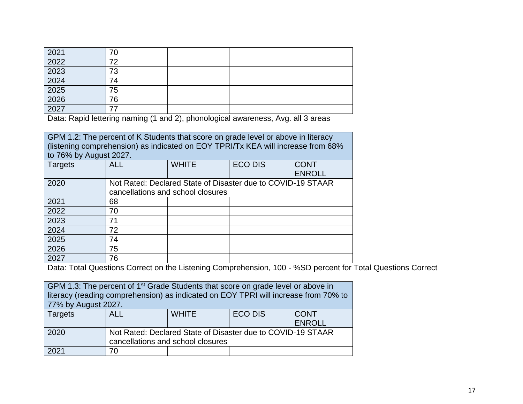| 2021                | 70 |  |  |
|---------------------|----|--|--|
| 2022                | 70 |  |  |
| 2023                | 73 |  |  |
| $\frac{2024}{2025}$ | 74 |  |  |
|                     | 75 |  |  |
| 2026                | 76 |  |  |
| 2027                |    |  |  |

Data: Rapid lettering naming (1 and 2), phonological awareness, Avg. all 3 areas

GPM 1.2: The percent of K Students that score on grade level or above in literacy (listening comprehension) as indicated on EOY TPRI/Tx KEA will increase from 68% to 76% by August 2027.

| <b>Targets</b> | <b>ALL</b> | <b>WHITE</b>                                                                                     | <b>ECO DIS</b> | <b>CONT</b><br><b>ENROLL</b> |
|----------------|------------|--------------------------------------------------------------------------------------------------|----------------|------------------------------|
| 2020           |            | Not Rated: Declared State of Disaster due to COVID-19 STAAR<br>cancellations and school closures |                |                              |
| 2021           | 68         |                                                                                                  |                |                              |
| 2022           | 70         |                                                                                                  |                |                              |
| 2023           | 71         |                                                                                                  |                |                              |
| 2024           | 72         |                                                                                                  |                |                              |
| 2025           | 74         |                                                                                                  |                |                              |
| 2026           | 75         |                                                                                                  |                |                              |
| 2027           | 76         |                                                                                                  |                |                              |

Data: Total Questions Correct on the Listening Comprehension, 100 - %SD percent for Total Questions Correct

| GPM 1.3: The percent of 1 <sup>st</sup> Grade Students that score on grade level or above in<br>literacy (reading comprehension) as indicated on EOY TPRI will increase from 70% to |                                                                                                  |              |                |                              |
|-------------------------------------------------------------------------------------------------------------------------------------------------------------------------------------|--------------------------------------------------------------------------------------------------|--------------|----------------|------------------------------|
| 77% by August 2027.                                                                                                                                                                 |                                                                                                  |              |                |                              |
| Targets                                                                                                                                                                             | <b>ALL</b>                                                                                       | <b>WHITE</b> | <b>ECO DIS</b> | <b>CONT</b><br><b>ENROLL</b> |
| 2020                                                                                                                                                                                | Not Rated: Declared State of Disaster due to COVID-19 STAAR<br>cancellations and school closures |              |                |                              |
| 2021                                                                                                                                                                                | 70                                                                                               |              |                |                              |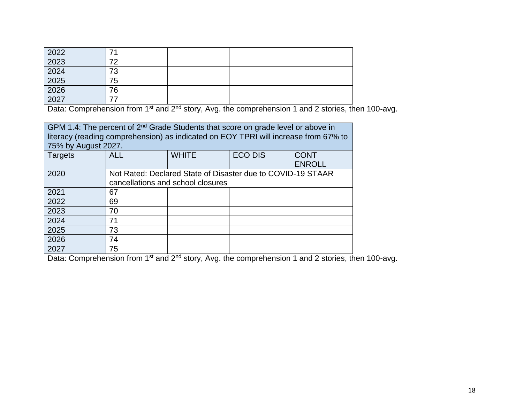|                                              | ⇁  |  |  |
|----------------------------------------------|----|--|--|
|                                              | 70 |  |  |
|                                              | 73 |  |  |
|                                              | 75 |  |  |
|                                              | 76 |  |  |
| 2022<br>2023<br>2024<br>2025<br>2026<br>2027 |    |  |  |

Data: Comprehension from 1<sup>st</sup> and 2<sup>nd</sup> story, Avg. the comprehension 1 and 2 stories, then 100-avg.

| GPM 1.4: The percent of 2 <sup>nd</sup> Grade Students that score on grade level or above in<br>literacy (reading comprehension) as indicated on EOY TPRI will increase from 67% to<br>75% by August 2027. |                                                                                                  |              |                |                              |
|------------------------------------------------------------------------------------------------------------------------------------------------------------------------------------------------------------|--------------------------------------------------------------------------------------------------|--------------|----------------|------------------------------|
| Targets                                                                                                                                                                                                    | <b>ALL</b>                                                                                       | <b>WHITE</b> | <b>ECO DIS</b> | <b>CONT</b><br><b>ENROLL</b> |
| 2020                                                                                                                                                                                                       | Not Rated: Declared State of Disaster due to COVID-19 STAAR<br>cancellations and school closures |              |                |                              |
| 2021                                                                                                                                                                                                       | 67                                                                                               |              |                |                              |
| 2022                                                                                                                                                                                                       | 69                                                                                               |              |                |                              |
| 2023                                                                                                                                                                                                       | 70                                                                                               |              |                |                              |
| 2024                                                                                                                                                                                                       | 71                                                                                               |              |                |                              |
| 2025                                                                                                                                                                                                       | 73                                                                                               |              |                |                              |
| 2026                                                                                                                                                                                                       | 74                                                                                               |              |                |                              |
| 2027                                                                                                                                                                                                       | 75                                                                                               |              |                |                              |

Data: Comprehension from 1<sup>st</sup> and 2<sup>nd</sup> story, Avg. the comprehension 1 and 2 stories, then 100-avg.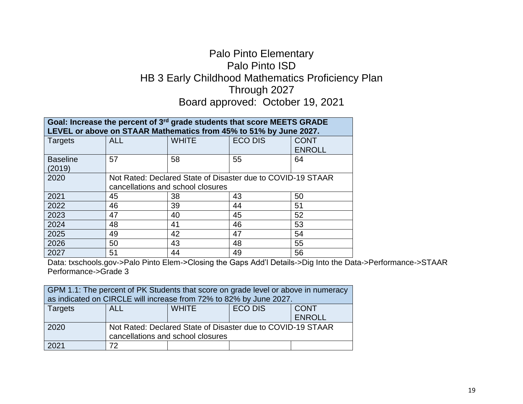## Palo Pinto Elementary Palo Pinto ISD HB 3 Early Childhood Mathematics Proficiency Plan Through 2027 Board approved: October 19, 2021

| Goal: Increase the percent of 3 <sup>rd</sup> grade students that score MEETS GRADE |            |                                                                   |                |               |
|-------------------------------------------------------------------------------------|------------|-------------------------------------------------------------------|----------------|---------------|
|                                                                                     |            | LEVEL or above on STAAR Mathematics from 45% to 51% by June 2027. |                |               |
| <b>Targets</b>                                                                      | <b>ALL</b> | <b>WHITE</b>                                                      | <b>ECO DIS</b> | <b>CONT</b>   |
|                                                                                     |            |                                                                   |                | <b>ENROLL</b> |
| <b>Baseline</b>                                                                     | 57         | 58                                                                | 55             | 64            |
| (2019)                                                                              |            |                                                                   |                |               |
| 2020                                                                                |            | Not Rated: Declared State of Disaster due to COVID-19 STAAR       |                |               |
|                                                                                     |            | cancellations and school closures                                 |                |               |
| 2021                                                                                | 45         | 38                                                                | 43             | 50            |
| 2022                                                                                | 46         | 39                                                                | 44             | 51            |
| 2023                                                                                | 47         | 40                                                                | 45             | 52            |
| 2024                                                                                | 48         | 41                                                                | 46             | 53            |
| 2025                                                                                | 49         | 42                                                                | 47             | 54            |
| 2026                                                                                | 50         | 43                                                                | 48             | 55            |
| 2027                                                                                | 51         | 44                                                                | 49             | 56            |

Data: txschools.gov->Palo Pinto Elem->Closing the Gaps Add'l Details->Dig Into the Data->Performance->STAAR Performance->Grade 3

| GPM 1.1: The percent of PK Students that score on grade level or above in numeracy<br>as indicated on CIRCLE will increase from 72% to 82% by June 2027. |                                                                                                  |  |  |  |
|----------------------------------------------------------------------------------------------------------------------------------------------------------|--------------------------------------------------------------------------------------------------|--|--|--|
| <b>ECO DIS</b><br><b>WHITE</b><br><b>CONT</b><br>Targets<br>ALL.<br><b>ENROLL</b>                                                                        |                                                                                                  |  |  |  |
| 2020                                                                                                                                                     | Not Rated: Declared State of Disaster due to COVID-19 STAAR<br>cancellations and school closures |  |  |  |
| 2021                                                                                                                                                     | 72                                                                                               |  |  |  |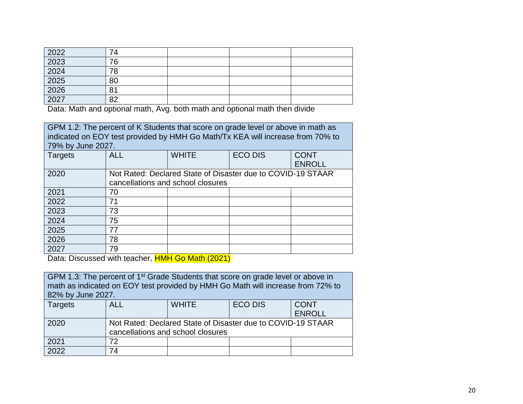| 2022                 | 74 |  |  |
|----------------------|----|--|--|
| 2023                 | 76 |  |  |
| 2024<br>2025<br>2026 | 78 |  |  |
|                      | 80 |  |  |
|                      | 81 |  |  |
| 2027                 | ററ |  |  |

Data: Math and optional math, Avg. both math and optional math then divide

| GPM 1.2: The percent of K Students that score on grade level or above in math as<br>indicated on EOY test provided by HMH Go Math/Tx KEA will increase from 70% to<br>79% by June 2027. |                                                                                                  |              |                |                              |
|-----------------------------------------------------------------------------------------------------------------------------------------------------------------------------------------|--------------------------------------------------------------------------------------------------|--------------|----------------|------------------------------|
| <b>Targets</b>                                                                                                                                                                          | <b>ALL</b>                                                                                       | <b>WHITE</b> | <b>ECO DIS</b> | <b>CONT</b><br><b>ENROLL</b> |
| 2020                                                                                                                                                                                    | Not Rated: Declared State of Disaster due to COVID-19 STAAR<br>cancellations and school closures |              |                |                              |
| 2021                                                                                                                                                                                    | 70                                                                                               |              |                |                              |
| 2022                                                                                                                                                                                    | 71                                                                                               |              |                |                              |
| 2023                                                                                                                                                                                    | 73                                                                                               |              |                |                              |
| 2024                                                                                                                                                                                    | 75                                                                                               |              |                |                              |
| 2025                                                                                                                                                                                    | 77                                                                                               |              |                |                              |
| 2026                                                                                                                                                                                    | 78                                                                                               |              |                |                              |
| 2027                                                                                                                                                                                    | 79                                                                                               |              |                |                              |

Data: Discussed with teacher, HMH Go Math (2021)

| GPM 1.3: The percent of 1 <sup>st</sup> Grade Students that score on grade level or above in<br>math as indicated on EOY test provided by HMH Go Math will increase from 72% to |                                   |                                                             |                |               |
|---------------------------------------------------------------------------------------------------------------------------------------------------------------------------------|-----------------------------------|-------------------------------------------------------------|----------------|---------------|
| 82% by June 2027.                                                                                                                                                               |                                   |                                                             |                |               |
| <b>Targets</b>                                                                                                                                                                  | <b>ALL</b>                        | <b>WHITE</b>                                                | <b>ECO DIS</b> | <b>CONT</b>   |
|                                                                                                                                                                                 |                                   |                                                             |                | <b>ENROLL</b> |
| 2020                                                                                                                                                                            |                                   | Not Rated: Declared State of Disaster due to COVID-19 STAAR |                |               |
|                                                                                                                                                                                 | cancellations and school closures |                                                             |                |               |
| 2021                                                                                                                                                                            | 72                                |                                                             |                |               |
| 2022                                                                                                                                                                            | 74                                |                                                             |                |               |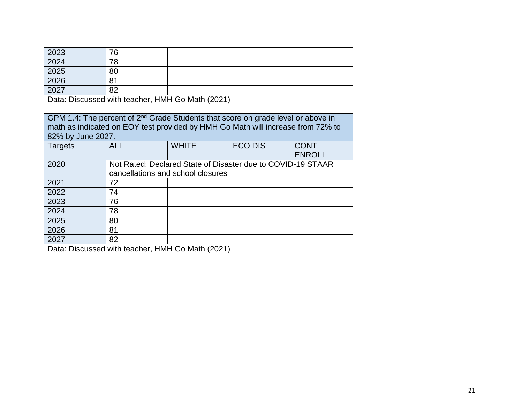| 2023 | 76 |  |  |
|------|----|--|--|
| 2024 | 78 |  |  |
| 2025 | 80 |  |  |
| 2026 | 81 |  |  |
| 2027 | 82 |  |  |

Data: Discussed with teacher, HMH Go Math (2021)

GPM 1.4: The percent of 2<sup>nd</sup> Grade Students that score on grade level or above in math as indicated on EOY test provided by HMH Go Math will increase from 72% to 82% by June 2027.

| <b>Targets</b> | <b>ALL</b>                                                                                       | <b>WHITE</b> | <b>ECO DIS</b> | <b>CONT</b><br><b>ENROLL</b> |
|----------------|--------------------------------------------------------------------------------------------------|--------------|----------------|------------------------------|
| 2020           | Not Rated: Declared State of Disaster due to COVID-19 STAAR<br>cancellations and school closures |              |                |                              |
| 2021           | 72                                                                                               |              |                |                              |
| 2022           | 74                                                                                               |              |                |                              |
| 2023           | 76                                                                                               |              |                |                              |
| 2024           | 78                                                                                               |              |                |                              |
| 2025           | 80                                                                                               |              |                |                              |
| 2026           | 81                                                                                               |              |                |                              |
| 2027           | 82                                                                                               |              |                |                              |

Data: Discussed with teacher, HMH Go Math (2021)